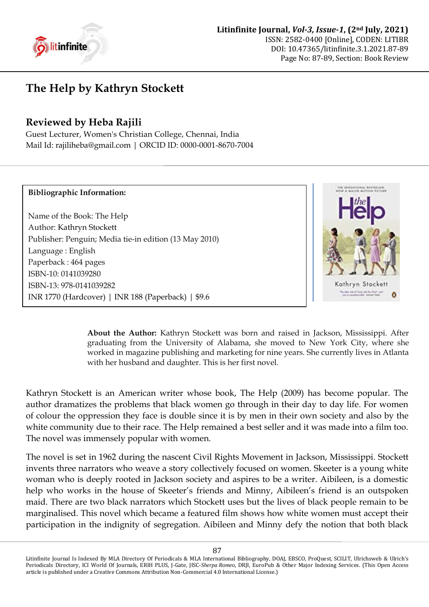

## **The Help by Kathryn Stockett**

## **Reviewed by Heba Rajili**

Guest Lecturer, Women's Christian College, Chennai, India Mail Id: rajiliheba@gmail.com | ORCID ID: [0000-0001-8670-7004](https://orcid.org/0000-0001-8670-7004)

## **Bibliographic Information:**

Name of the Book: The Help Author: Kathryn Stockett Publisher: Penguin; Media tie-in edition (13 May 2010) Language : English Paperback : 464 pages ISBN-10: 0141039280 ISBN-13: 978-0141039282 INR 1770 (Hardcover) | INR 188 (Paperback) | \$9.6



**About the Author:** Kathryn Stockett was born and raised in Jackson, Mississippi. After graduating from the University of Alabama, she moved to New York City, where she worked in magazine publishing and marketing for nine years. She currently lives in Atlanta with her husband and daughter. This is her first novel.

Kathryn Stockett is an American writer whose book, The Help (2009) has become popular. The author dramatizes the problems that black women go through in their day to day life. For women of colour the oppression they face is double since it is by men in their own society and also by the white community due to their race. The Help remained a best seller and it was made into a film too. The novel was immensely popular with women.

The novel is set in 1962 during the nascent Civil Rights Movement in Jackson, Mississippi. Stockett invents three narrators who weave a story collectively focused on women. Skeeter is a young white woman who is deeply rooted in Jackson society and aspires to be a writer. Aibileen, is a domestic help who works in the house of Skeeter's friends and Minny, Aibileen's friend is an outspoken maid. There are two black narrators which Stockett uses but the lives of black people remain to be marginalised. This novel which became a featured film shows how white women must accept their participation in the indignity of segregation. Aibileen and Minny defy the notion that both black

Litinfinite Journal Is Indexed By MLA Directory Of Periodicals & MLA International Bibliography, DOAJ, EBSCO, ProQuest, SCILIT, Ulrichsweb & Ulrich's Periodicals Directory, ICI World Of Journals, ERIH PLUS, J-Gate, JISC-*Sherpa Romeo*, DRJI, EuroPub & Other Major Indexing Services. (This Open Access article is published under a Creative Commons Attribution Non-Commercial 4.0 International License.)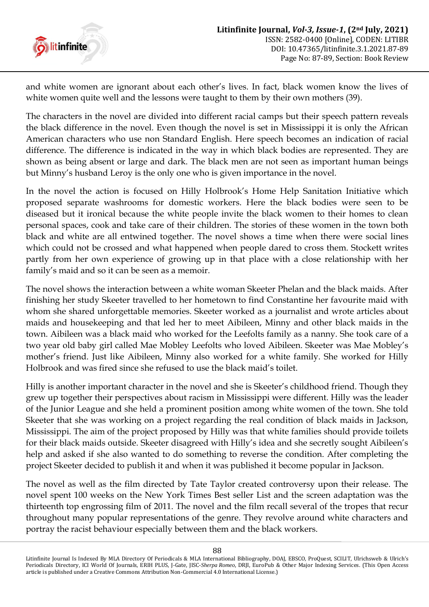

and white women are ignorant about each other's lives. In fact, black women know the lives of white women quite well and the lessons were taught to them by their own mothers (39).

The characters in the novel are divided into different racial camps but their speech pattern reveals the black difference in the novel. Even though the novel is set in Mississippi it is only the African American characters who use non Standard English. Here speech becomes an indication of racial difference. The difference is indicated in the way in which black bodies are represented. They are shown as being absent or large and dark. The black men are not seen as important human beings but Minny's husband Leroy is the only one who is given importance in the novel.

In the novel the action is focused on Hilly Holbrook's Home Help Sanitation Initiative which proposed separate washrooms for domestic workers. Here the black bodies were seen to be diseased but it ironical because the white people invite the black women to their homes to clean personal spaces, cook and take care of their children. The stories of these women in the town both black and white are all entwined together. The novel shows a time when there were social lines which could not be crossed and what happened when people dared to cross them. Stockett writes partly from her own experience of growing up in that place with a close relationship with her family's maid and so it can be seen as a memoir.

The novel shows the interaction between a white woman Skeeter Phelan and the black maids. After finishing her study Skeeter travelled to her hometown to find Constantine her favourite maid with whom she shared unforgettable memories. Skeeter worked as a journalist and wrote articles about maids and housekeeping and that led her to meet Aibileen, Minny and other black maids in the town. Aibileen was a black maid who worked for the Leefolts family as a nanny. She took care of a two year old baby girl called Mae Mobley Leefolts who loved Aibileen. Skeeter was Mae Mobley's mother's friend. Just like Aibileen, Minny also worked for a white family. She worked for Hilly Holbrook and was fired since she refused to use the black maid's toilet.

Hilly is another important character in the novel and she is Skeeter's childhood friend. Though they grew up together their perspectives about racism in Mississippi were different. Hilly was the leader of the Junior League and she held a prominent position among white women of the town. She told Skeeter that she was working on a project regarding the real condition of black maids in Jackson, Mississippi. The aim of the project proposed by Hilly was that white families should provide toilets for their black maids outside. Skeeter disagreed with Hilly's idea and she secretly sought Aibileen's help and asked if she also wanted to do something to reverse the condition. After completing the project Skeeter decided to publish it and when it was published it become popular in Jackson.

The novel as well as the film directed by Tate Taylor created controversy upon their release. The novel spent 100 weeks on the New York Times Best seller List and the screen adaptation was the thirteenth top engrossing film of 2011. The novel and the film recall several of the tropes that recur throughout many popular representations of the genre. They revolve around white characters and portray the racist behaviour especially between them and the black workers.

Litinfinite Journal Is Indexed By MLA Directory Of Periodicals & MLA International Bibliography, DOAJ, EBSCO, ProQuest, SCILIT, Ulrichsweb & Ulrich's Periodicals Directory, ICI World Of Journals, ERIH PLUS, J-Gate, JISC-*Sherpa Romeo*, DRJI, EuroPub & Other Major Indexing Services. (This Open Access article is published under a Creative Commons Attribution Non-Commercial 4.0 International License.)